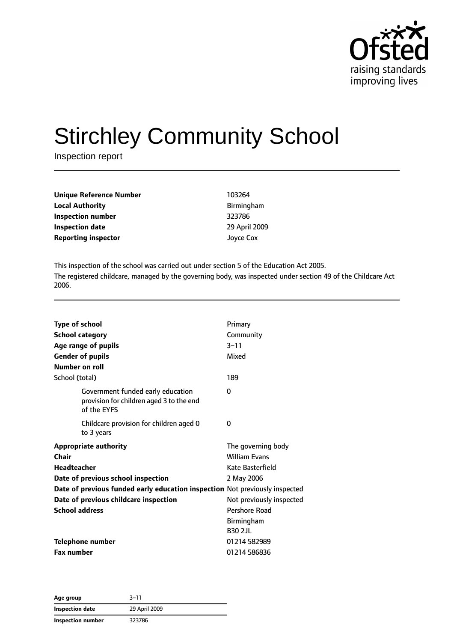

# Stirchley Community School

Inspection report

| Unique Reference Number    | 103264            |
|----------------------------|-------------------|
| <b>Local Authority</b>     | <b>Birmingham</b> |
| Inspection number          | 323786            |
| <b>Inspection date</b>     | 29 April 2009     |
| <b>Reporting inspector</b> | Joyce Cox         |

This inspection of the school was carried out under section 5 of the Education Act 2005. The registered childcare, managed by the governing body, was inspected under section 49 of the Childcare Act 2006.

| <b>Type of school</b><br><b>School category</b><br>Age range of pupils<br><b>Gender of pupils</b><br>Number on roll | Primary<br>Community<br>$3 - 11$<br>Mixed |
|---------------------------------------------------------------------------------------------------------------------|-------------------------------------------|
| School (total)                                                                                                      | 189                                       |
| Government funded early education<br>provision for children aged 3 to the end<br>of the EYFS                        | 0                                         |
| Childcare provision for children aged 0<br>to 3 years                                                               | 0                                         |
| <b>Appropriate authority</b>                                                                                        | The governing body                        |
| Chair                                                                                                               | <b>William Evans</b>                      |
| <b>Headteacher</b>                                                                                                  | Kate Basterfield                          |
| Date of previous school inspection                                                                                  | 2 May 2006                                |
| Date of previous funded early education inspection Not previously inspected                                         |                                           |
| Date of previous childcare inspection                                                                               | Not previously inspected                  |
| <b>School address</b>                                                                                               | Pershore Road                             |
|                                                                                                                     | <b>Birmingham</b>                         |
|                                                                                                                     | <b>B30 2JL</b>                            |
| <b>Telephone number</b>                                                                                             | 01214 582989                              |
| <b>Fax number</b>                                                                                                   | 01214 586836                              |

**Age group** 3–11 **Inspection date** 29 April 2009 **Inspection number** 323786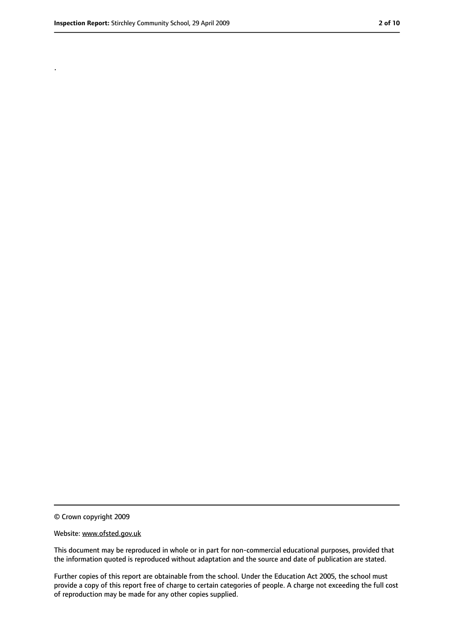.

<sup>©</sup> Crown copyright 2009

Website: www.ofsted.gov.uk

This document may be reproduced in whole or in part for non-commercial educational purposes, provided that the information quoted is reproduced without adaptation and the source and date of publication are stated.

Further copies of this report are obtainable from the school. Under the Education Act 2005, the school must provide a copy of this report free of charge to certain categories of people. A charge not exceeding the full cost of reproduction may be made for any other copies supplied.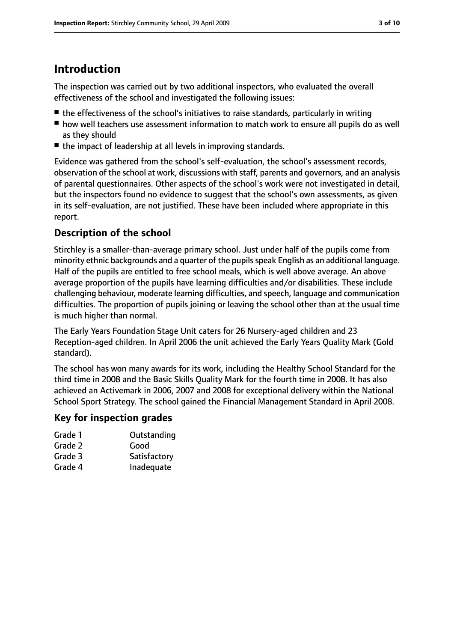## **Introduction**

The inspection was carried out by two additional inspectors, who evaluated the overall effectiveness of the school and investigated the following issues:

- the effectiveness of the school's initiatives to raise standards, particularly in writing
- how well teachers use assessment information to match work to ensure all pupils do as well as they should
- the impact of leadership at all levels in improving standards.

Evidence was gathered from the school's self-evaluation, the school's assessment records, observation of the school at work, discussions with staff, parents and governors, and an analysis of parental questionnaires. Other aspects of the school's work were not investigated in detail, but the inspectors found no evidence to suggest that the school's own assessments, as given in its self-evaluation, are not justified. These have been included where appropriate in this report.

### **Description of the school**

Stirchley is a smaller-than-average primary school. Just under half of the pupils come from minority ethnic backgrounds and a quarter of the pupils speak English as an additional language. Half of the pupils are entitled to free school meals, which is well above average. An above average proportion of the pupils have learning difficulties and/or disabilities. These include challenging behaviour, moderate learning difficulties, and speech, language and communication difficulties. The proportion of pupils joining or leaving the school other than at the usual time is much higher than normal.

The Early Years Foundation Stage Unit caters for 26 Nursery-aged children and 23 Reception-aged children. In April 2006 the unit achieved the Early Years Quality Mark (Gold standard).

The school has won many awards for its work, including the Healthy School Standard for the third time in 2008 and the Basic Skills Quality Mark for the fourth time in 2008. It has also achieved an Activemark in 2006, 2007 and 2008 for exceptional delivery within the National School Sport Strategy. The school gained the Financial Management Standard in April 2008.

#### **Key for inspection grades**

| Grade 1 | Outstanding  |
|---------|--------------|
| Grade 2 | Good         |
| Grade 3 | Satisfactory |

Grade 4 Inadequate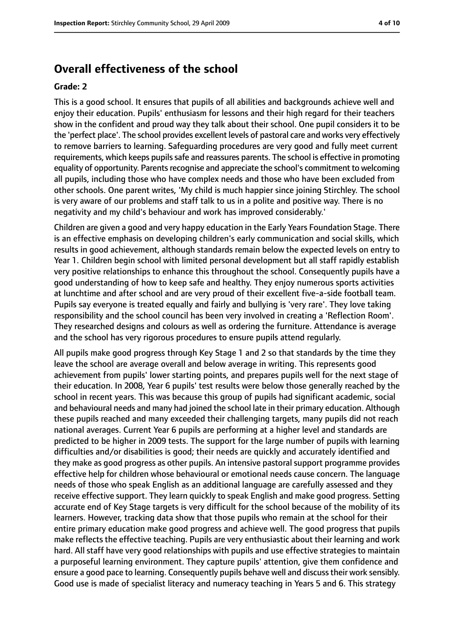## **Overall effectiveness of the school**

#### **Grade: 2**

This is a good school. It ensures that pupils of all abilities and backgrounds achieve well and enjoy their education. Pupils' enthusiasm for lessons and their high regard for their teachers show in the confident and proud way they talk about their school. One pupil considers it to be the 'perfect place'. The school provides excellent levels of pastoral care and works very effectively to remove barriers to learning. Safeguarding procedures are very good and fully meet current requirements, which keeps pupils safe and reassures parents. The school is effective in promoting equality of opportunity. Parents recognise and appreciate the school's commitment to welcoming all pupils, including those who have complex needs and those who have been excluded from other schools. One parent writes, 'My child is much happier since joining Stirchley. The school is very aware of our problems and staff talk to us in a polite and positive way. There is no negativity and my child's behaviour and work has improved considerably.'

Children are given a good and very happy education in the Early Years Foundation Stage. There is an effective emphasis on developing children's early communication and social skills, which results in good achievement, although standards remain below the expected levels on entry to Year 1. Children begin school with limited personal development but all staff rapidly establish very positive relationships to enhance this throughout the school. Consequently pupils have a good understanding of how to keep safe and healthy. They enjoy numerous sports activities at lunchtime and after school and are very proud of their excellent five-a-side football team. Pupils say everyone is treated equally and fairly and bullying is 'very rare'. They love taking responsibility and the school council has been very involved in creating a 'Reflection Room'. They researched designs and colours as well as ordering the furniture. Attendance is average and the school has very rigorous procedures to ensure pupils attend regularly.

All pupils make good progress through Key Stage 1 and 2 so that standards by the time they leave the school are average overall and below average in writing. This represents good achievement from pupils' lower starting points, and prepares pupils well for the next stage of their education. In 2008, Year 6 pupils' test results were below those generally reached by the school in recent years. This was because this group of pupils had significant academic, social and behavioural needs and many had joined the school late in their primary education. Although these pupils reached and many exceeded their challenging targets, many pupils did not reach national averages. Current Year 6 pupils are performing at a higher level and standards are predicted to be higher in 2009 tests. The support for the large number of pupils with learning difficulties and/or disabilities is good; their needs are quickly and accurately identified and they make as good progress as other pupils. An intensive pastoral support programme provides effective help for children whose behavioural or emotional needs cause concern. The language needs of those who speak English as an additional language are carefully assessed and they receive effective support. They learn quickly to speak English and make good progress. Setting accurate end of Key Stage targets is very difficult for the school because of the mobility of its learners. However, tracking data show that those pupils who remain at the school for their entire primary education make good progress and achieve well. The good progress that pupils make reflects the effective teaching. Pupils are very enthusiastic about their learning and work hard. All staff have very good relationships with pupils and use effective strategies to maintain a purposeful learning environment. They capture pupils' attention, give them confidence and ensure a good pace to learning. Consequently pupils behave well and discusstheir work sensibly. Good use is made of specialist literacy and numeracy teaching in Years 5 and 6. This strategy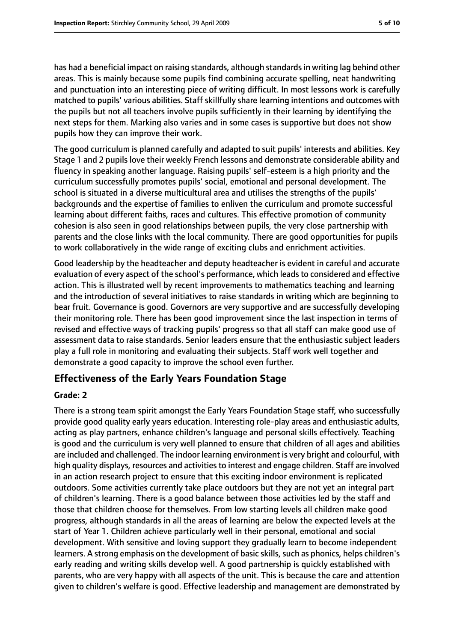has had a beneficial impact on raising standards, although standardsin writing lag behind other areas. This is mainly because some pupils find combining accurate spelling, neat handwriting and punctuation into an interesting piece of writing difficult. In most lessons work is carefully matched to pupils' various abilities. Staff skillfully share learning intentions and outcomes with the pupils but not all teachers involve pupils sufficiently in their learning by identifying the next steps for them. Marking also varies and in some cases is supportive but does not show pupils how they can improve their work.

The good curriculum is planned carefully and adapted to suit pupils' interests and abilities. Key Stage 1 and 2 pupils love their weekly French lessons and demonstrate considerable ability and fluency in speaking another language. Raising pupils' self-esteem is a high priority and the curriculum successfully promotes pupils' social, emotional and personal development. The school is situated in a diverse multicultural area and utilises the strengths of the pupils' backgrounds and the expertise of families to enliven the curriculum and promote successful learning about different faiths, races and cultures. This effective promotion of community cohesion is also seen in good relationships between pupils, the very close partnership with parents and the close links with the local community. There are good opportunities for pupils to work collaboratively in the wide range of exciting clubs and enrichment activities.

Good leadership by the headteacher and deputy headteacher is evident in careful and accurate evaluation of every aspect of the school's performance, which leads to considered and effective action. This is illustrated well by recent improvements to mathematics teaching and learning and the introduction of several initiatives to raise standards in writing which are beginning to bear fruit. Governance is good. Governors are very supportive and are successfully developing their monitoring role. There has been good improvement since the last inspection in terms of revised and effective ways of tracking pupils' progress so that all staff can make good use of assessment data to raise standards. Senior leaders ensure that the enthusiastic subject leaders play a full role in monitoring and evaluating their subjects. Staff work well together and demonstrate a good capacity to improve the school even further.

### **Effectiveness of the Early Years Foundation Stage**

#### **Grade: 2**

There is a strong team spirit amongst the Early Years Foundation Stage staff, who successfully provide good quality early years education. Interesting role-play areas and enthusiastic adults, acting as play partners, enhance children's language and personal skills effectively. Teaching is good and the curriculum is very well planned to ensure that children of all ages and abilities are included and challenged. The indoor learning environment is very bright and colourful, with high quality displays, resources and activities to interest and engage children. Staff are involved in an action research project to ensure that this exciting indoor environment is replicated outdoors. Some activities currently take place outdoors but they are not yet an integral part of children's learning. There is a good balance between those activities led by the staff and those that children choose for themselves. From low starting levels all children make good progress, although standards in all the areas of learning are below the expected levels at the start of Year 1. Children achieve particularly well in their personal, emotional and social development. With sensitive and loving support they gradually learn to become independent learners. A strong emphasis on the development of basic skills, such as phonics, helps children's early reading and writing skills develop well. A good partnership is quickly established with parents, who are very happy with all aspects of the unit. This is because the care and attention given to children's welfare is good. Effective leadership and management are demonstrated by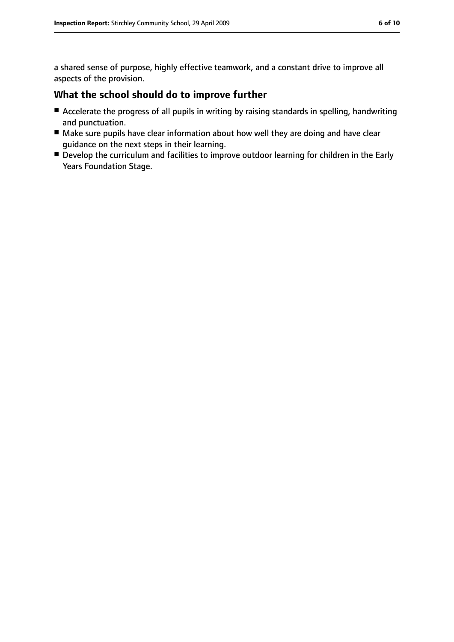a shared sense of purpose, highly effective teamwork, and a constant drive to improve all aspects of the provision.

#### **What the school should do to improve further**

- Accelerate the progress of all pupils in writing by raising standards in spelling, handwriting and punctuation.
- Make sure pupils have clear information about how well they are doing and have clear guidance on the next steps in their learning.
- Develop the curriculum and facilities to improve outdoor learning for children in the Early Years Foundation Stage.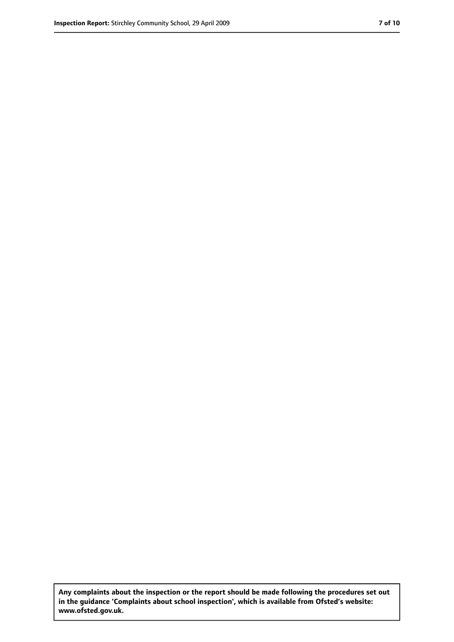**Any complaints about the inspection or the report should be made following the procedures set out in the guidance 'Complaints about school inspection', which is available from Ofsted's website: www.ofsted.gov.uk.**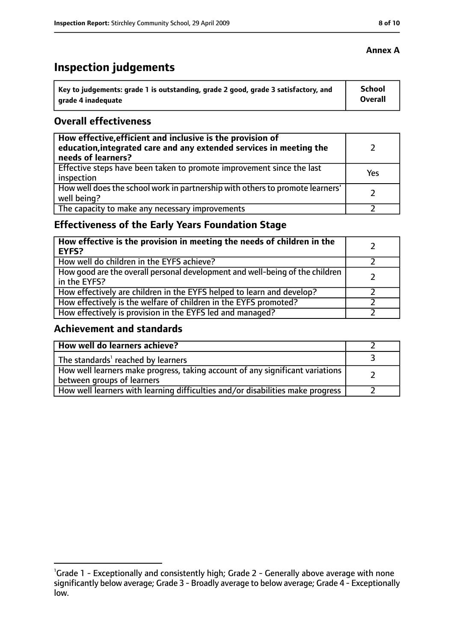# **Inspection judgements**

| key to judgements: grade 1 is outstanding, grade 2 good, grade 3 satisfactory, and ا | School         |
|--------------------------------------------------------------------------------------|----------------|
| arade 4 inadequate                                                                   | <b>Overall</b> |

#### **Overall effectiveness**

| How effective, efficient and inclusive is the provision of<br>education, integrated care and any extended services in meeting the<br>needs of learners? |     |
|---------------------------------------------------------------------------------------------------------------------------------------------------------|-----|
| Effective steps have been taken to promote improvement since the last<br>inspection                                                                     | Yes |
| How well does the school work in partnership with others to promote learners'<br>well being?                                                            |     |
| The capacity to make any necessary improvements                                                                                                         |     |

## **Effectiveness of the Early Years Foundation Stage**

| How effective is the provision in meeting the needs of children in the<br>l EYFS?              |  |
|------------------------------------------------------------------------------------------------|--|
| How well do children in the EYFS achieve?                                                      |  |
| How good are the overall personal development and well-being of the children<br>I in the EYFS? |  |
| How effectively are children in the EYFS helped to learn and develop?                          |  |
| How effectively is the welfare of children in the EYFS promoted?                               |  |
| How effectively is provision in the EYFS led and managed?                                      |  |

#### **Achievement and standards**

| How well do learners achieve?                                                                               |  |
|-------------------------------------------------------------------------------------------------------------|--|
| The standards <sup>1</sup> reached by learners                                                              |  |
| How well learners make progress, taking account of any significant variations<br>between groups of learners |  |
| How well learners with learning difficulties and/or disabilities make progress                              |  |

#### **Annex A**

<sup>&</sup>lt;sup>1</sup>Grade 1 - Exceptionally and consistently high; Grade 2 - Generally above average with none significantly below average; Grade 3 - Broadly average to below average; Grade 4 - Exceptionally low.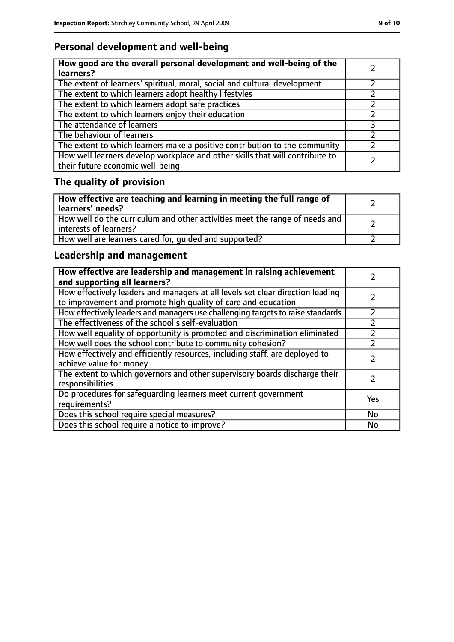## **Personal development and well-being**

| How good are the overall personal development and well-being of the<br>learners?                                 |  |
|------------------------------------------------------------------------------------------------------------------|--|
| The extent of learners' spiritual, moral, social and cultural development                                        |  |
| The extent to which learners adopt healthy lifestyles                                                            |  |
| The extent to which learners adopt safe practices                                                                |  |
| The extent to which learners enjoy their education                                                               |  |
| The attendance of learners                                                                                       |  |
| The behaviour of learners                                                                                        |  |
| The extent to which learners make a positive contribution to the community                                       |  |
| How well learners develop workplace and other skills that will contribute to<br>their future economic well-being |  |

# **The quality of provision**

| How effective are teaching and learning in meeting the full range of<br>learners' needs?              |  |
|-------------------------------------------------------------------------------------------------------|--|
| How well do the curriculum and other activities meet the range of needs and<br>interests of learners? |  |
| How well are learners cared for, quided and supported?                                                |  |

## **Leadership and management**

| How effective are leadership and management in raising achievement<br>and supporting all learners?                                              |     |
|-------------------------------------------------------------------------------------------------------------------------------------------------|-----|
| How effectively leaders and managers at all levels set clear direction leading<br>to improvement and promote high quality of care and education |     |
| How effectively leaders and managers use challenging targets to raise standards                                                                 |     |
| The effectiveness of the school's self-evaluation                                                                                               |     |
| How well equality of opportunity is promoted and discrimination eliminated                                                                      |     |
| How well does the school contribute to community cohesion?                                                                                      |     |
| How effectively and efficiently resources, including staff, are deployed to<br>achieve value for money                                          |     |
| The extent to which governors and other supervisory boards discharge their<br>responsibilities                                                  |     |
| Do procedures for safeguarding learners meet current government<br>requirements?                                                                | Yes |
| Does this school require special measures?                                                                                                      | No  |
| Does this school require a notice to improve?                                                                                                   | No  |